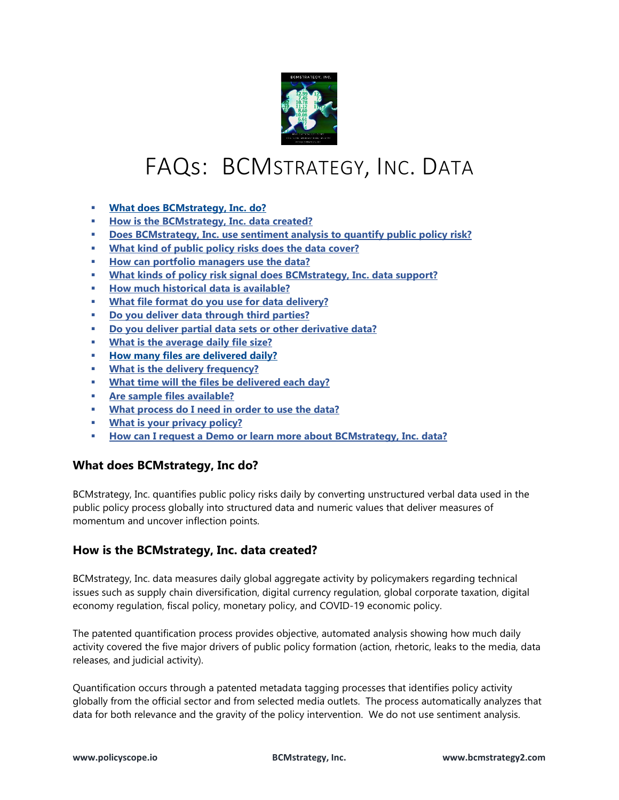

# FAQs: BCMSTRATEGY, INC. DATA

- **[What does BCMstrategy, Inc. do?](#page-0-0)**
- **[How is the BCMstrategy, Inc. data created?](#page-0-1)**
- **[Does BCMstrategy, Inc. use sentiment analysis to quantify public policy risk?](#page-1-0)**
- **[What kind of public policy risks does the data cover?](#page-1-1)**
- **[How can portfolio managers use the data?](#page-1-2)**
- **What kinds of policy risk signal [does BCMstrategy, Inc. data support?](#page-1-3)**
- **[How much historical data is available?](#page-2-0)**
- **[What file format do you use for data delivery?](#page-2-1)**
- **[Do you deliver data through third parties?](#page-2-2)**
- **[Do you deliver partial data sets or other derivative](#page-2-3) data?**
- **[What is the average daily file size?](#page-2-4)**
- **[How many files are delivered daily?](#page-2-5)**
- **[What is the delivery frequency?](#page-2-6)**
- **[What time will the files be delivered each day?](#page-2-7)**
- **[Are sample files available?](#page-3-0)**
- **[What process do I need in order to use the data?](#page-3-1)**
- **[What is your privacy policy?](#page-3-2)**
- **[How can I request a Demo or learn more about BCMstrategy, Inc. data?](#page-3-3)**

# <span id="page-0-0"></span>**What does BCMstrategy, Inc do?**

BCMstrategy, Inc. quantifies public policy risks daily by converting unstructured verbal data used in the public policy process globally into structured data and numeric values that deliver measures of momentum and uncover inflection points.

# <span id="page-0-1"></span>**How is the BCMstrategy, Inc. data created?**

BCMstrategy, Inc. data measures daily global aggregate activity by policymakers regarding technical issues such as supply chain diversification, digital currency regulation, global corporate taxation, digital economy regulation, fiscal policy, monetary policy, and COVID-19 economic policy.

The patented quantification process provides objective, automated analysis showing how much daily activity covered the five major drivers of public policy formation (action, rhetoric, leaks to the media, data releases, and judicial activity).

Quantification occurs through a patented metadata tagging processes that identifies policy activity globally from the official sector and from selected media outlets. The process automatically analyzes that data for both relevance and the gravity of the policy intervention. We do not use sentiment analysis.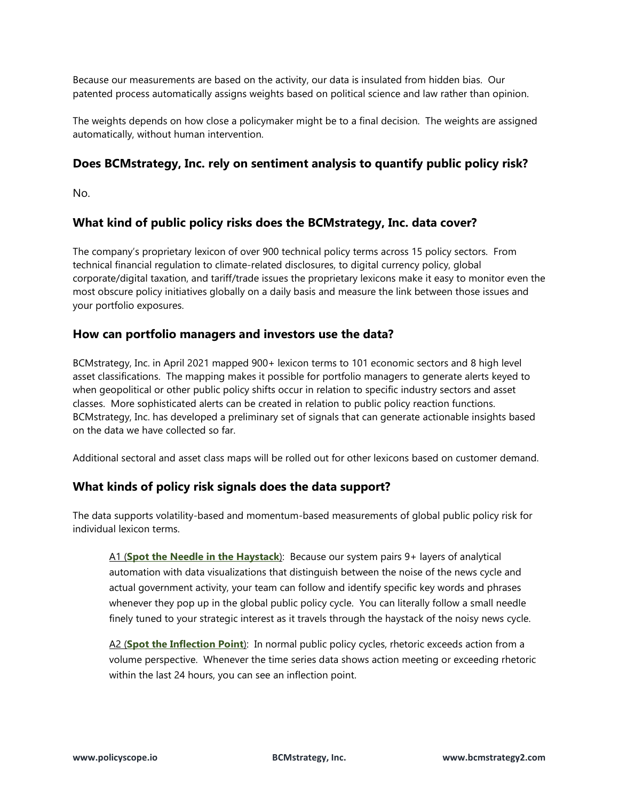Because our measurements are based on the activity, our data is insulated from hidden bias. Our patented process automatically assigns weights based on political science and law rather than opinion.

The weights depends on how close a policymaker might be to a final decision. The weights are assigned automatically, without human intervention.

## <span id="page-1-0"></span>**Does BCMstrategy, Inc. rely on sentiment analysis to quantify public policy risk?**

No.

## <span id="page-1-1"></span>**What kind of public policy risks does the BCMstrategy, Inc. data cover?**

The company's proprietary lexicon of over 900 technical policy terms across 15 policy sectors. From technical financial regulation to climate-related disclosures, to digital currency policy, global corporate/digital taxation, and tariff/trade issues the proprietary lexicons make it easy to monitor even the most obscure policy initiatives globally on a daily basis and measure the link between those issues and your portfolio exposures.

#### <span id="page-1-2"></span>**How can portfolio managers and investors use the data?**

BCMstrategy, Inc. in April 2021 mapped 900+ lexicon terms to 101 economic sectors and 8 high level asset classifications. The mapping makes it possible for portfolio managers to generate alerts keyed to when geopolitical or other public policy shifts occur in relation to specific industry sectors and asset classes. More sophisticated alerts can be created in relation to public policy reaction functions. BCMstrategy, Inc. has developed a preliminary set of signals that can generate actionable insights based on the data we have collected so far.

Additional sectoral and asset class maps will be rolled out for other lexicons based on customer demand.

## <span id="page-1-3"></span>**What kinds of policy risk signals does the data support?**

The data supports volatility-based and momentum-based measurements of global public policy risk for individual lexicon terms.

A1 (**Spot the Needle in the Haystack**): Because our system pairs 9+ layers of analytical automation with data visualizations that distinguish between the noise of the news cycle and actual government activity, your team can follow and identify specific key words and phrases whenever they pop up in the global public policy cycle. You can literally follow a small needle finely tuned to your strategic interest as it travels through the haystack of the noisy news cycle.

A2 (**Spot the Inflection Point**): In normal public policy cycles, rhetoric exceeds action from a volume perspective. Whenever the time series data shows action meeting or exceeding rhetoric within the last 24 hours, you can see an inflection point.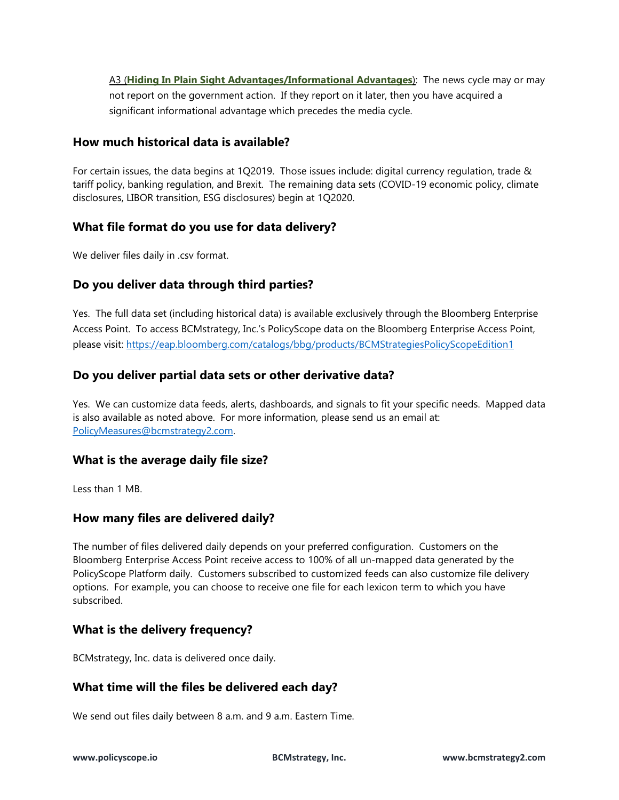A3 (**Hiding In Plain Sight Advantages/Informational Advantages**): The news cycle may or may not report on the government action. If they report on it later, then you have acquired a significant informational advantage which precedes the media cycle.

## <span id="page-2-0"></span>**How much historical data is available?**

For certain issues, the data begins at 1Q2019. Those issues include: digital currency regulation, trade & tariff policy, banking regulation, and Brexit. The remaining data sets (COVID-19 economic policy, climate disclosures, LIBOR transition, ESG disclosures) begin at 1Q2020.

## <span id="page-2-1"></span>**What file format do you use for data delivery?**

We deliver files daily in .csv format.

## <span id="page-2-2"></span>**Do you deliver data through third parties?**

Yes. The full data set (including historical data) is available exclusively through the Bloomberg Enterprise Access Point. To access BCMstrategy, Inc.'s PolicyScope data on the Bloomberg Enterprise Access Point, please visit:<https://eap.bloomberg.com/catalogs/bbg/products/BCMStrategiesPolicyScopeEdition1>

## <span id="page-2-3"></span>**Do you deliver partial data sets or other derivative data?**

Yes. We can customize data feeds, alerts, dashboards, and signals to fit your specific needs. Mapped data is also available as noted above. For more information, please send us an email at: [PolicyMeasures@bcmstrategy2.com.](mailto:PolicyMeasures@bcmstrategy2.com) 

## <span id="page-2-4"></span>**What is the average daily file size?**

Less than 1 MB.

## <span id="page-2-5"></span>**How many files are delivered daily?**

The number of files delivered daily depends on your preferred configuration. Customers on the Bloomberg Enterprise Access Point receive access to 100% of all un-mapped data generated by the PolicyScope Platform daily. Customers subscribed to customized feeds can also customize file delivery options. For example, you can choose to receive one file for each lexicon term to which you have subscribed.

## <span id="page-2-6"></span>**What is the delivery frequency?**

BCMstrategy, Inc. data is delivered once daily.

## <span id="page-2-7"></span>**What time will the files be delivered each day?**

We send out files daily between 8 a.m. and 9 a.m. Eastern Time.